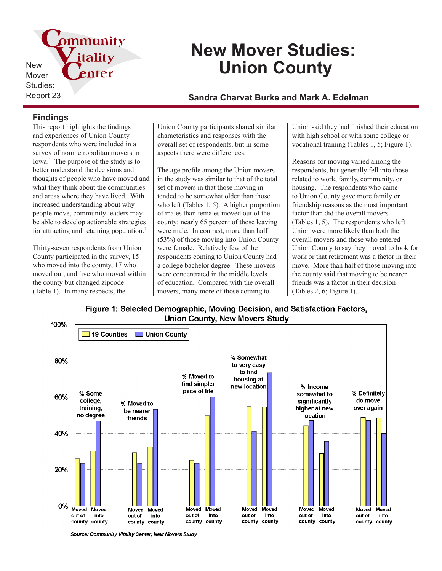pmmunity itality New enter Mover Studies:

# **New Mover Studies: Union County**

## Report 23 **Sandra Charvat Burke and Mark A. Edelman**

### **Findings**

This report highlights the findings and experiences of Union County respondents who were included in a survey of nonmetropolitan movers in Iowa.<sup>1</sup> The purpose of the study is to better understand the decisions and thoughts of people who have moved and what they think about the communities and areas where they have lived. With increased understanding about why people move, community leaders may be able to develop actionable strategies for attracting and retaining population.<sup>2</sup>

Thirty-seven respondents from Union County participated in the survey, 15 who moved into the county, 17 who moved out, and five who moved within the county but changed zipcode (Table 1). In many respects, the

Union County participants shared similar characteristics and responses with the overall set of respondents, but in some aspects there were differences.

The age profile among the Union movers in the study was similar to that of the total set of movers in that those moving in tended to be somewhat older than those who left (Tables 1, 5). A higher proportion of males than females moved out of the county; nearly 65 percent of those leaving were male. In contrast, more than half (53%) of those moving into Union County were female. Relatively few of the respondents coming to Union County had a college bachelor degree. These movers were concentrated in the middle levels of education. Compared with the overall movers, many more of those coming to

Union said they had finished their education with high school or with some college or vocational training (Tables 1, 5; Figure 1).

Reasons for moving varied among the respondents, but generally fell into those related to work, family, community, or housing. The respondents who came to Union County gave more family or friendship reasons as the most important factor than did the overall movers (Tables 1, 5). The respondents who left Union were more likely than both the overall movers and those who entered Union County to say they moved to look for work or that retirement was a factor in their move. More than half of those moving into the county said that moving to be nearer friends was a factor in their decision (Tables 2, 6; Figure 1).





Source: Community Vitality Center, New Movers Study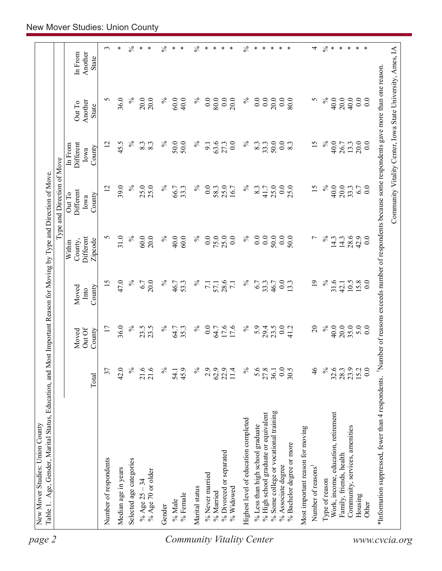| $\%$<br>5<br>36.0<br>$\%$<br>20.0<br>20.0<br>$\%$<br>$\%$<br>0.0<br>0.0<br>$\%$<br>0.0<br>5<br>40.0<br>20.0<br>60.0<br>40.0<br>80.0<br>20.0<br>0.0<br>20.0<br>0.0<br>80.0<br>Another<br>Out To<br>State<br>$\%$<br>$\%$<br>$\%$<br>$\%$<br>50.0<br>$\%$<br>12<br>45.5<br>63.6<br>8.3<br>33.3<br>0.0<br>15<br>40.0<br>8.3<br>8.3<br>50.0<br>50.0<br>27.3<br>0.0<br>8.3<br>9.1<br>26.7<br>Different<br>In From<br>County<br>Iowa<br>39.0<br>$\%$<br>$\%$<br>$\%$<br>25.0<br>$\%$<br>15<br>$\%$<br>40.0<br>20.0<br>12<br>25.0<br>25.0<br>33.3<br>0.0<br>8.3<br>25.0<br>0.0<br>25.0<br>66.7<br>58.3<br>16.7<br>41.7<br>Different<br>Out To<br>County<br>Iowa<br>$\%$<br>$\%$<br>$\%$<br>$\%$<br>$\%$<br>5<br>31.0<br>60.0<br>20.0<br>0.0<br>25.0<br>0.0<br>$0.0\,$<br>50.0<br>0.0<br>$\overline{ }$<br>40.0<br>60.0<br>75.0<br>0.0<br>50.0<br>14.3<br>14.3<br>Different<br>Zipcode<br>County,<br>Within<br>47.0<br>$\%$<br>31.6<br>$\%$<br>$\%$<br>$\%$<br>$\%$<br>$\overline{19}$<br>15<br>6.7<br>20.0<br>46.7<br>53.3<br>28.6<br>6.7<br>33.3<br>$_{0.0}$<br>13.3<br>$\overline{7.1}$<br>57.1<br>46.7<br>42.1<br>$\overline{7.1}$<br>County<br>Moved<br>Into<br>$\%$<br>$\%$<br>$\%$<br>$\%$<br>20.0<br>36.0<br>23.5<br>$\%$<br>0.0<br>17.6<br>5.9<br>23.5<br>0.0<br>$\Omega$<br>40.0<br>17<br>23.5<br>35.3<br>29.4<br>64.7<br>64.7<br>41.2<br>Out Of<br>County<br>Moved<br>$\mathcal{S}_{\mathsf{O}}$<br>42.0<br>$\frac{5}{6}$<br>21.6<br>21.6<br>$\%$<br>$\%$<br>5.6<br>27.8<br>0.0<br>$\frac{4}{6}$<br>$32.6$<br>$28.3$<br>37<br>45.9<br>$\%$<br>2.9<br>62.9<br>22.9<br>30.5<br>11.4<br>36.1<br>54.1<br>Total<br>% Some college or vocational training<br>Work, income, education, retirement<br>% High school graduate or equivalent<br>Highest level of education completed<br>% Less than high school graduate<br>Most important reason for moving<br>% Bachelor degree or more<br>% Divorced or separated<br>Family, friends, health<br>Number of respondents<br>Selected age categories<br>% Associate degree<br>Number of reasons<br>Median age in years<br>% Age 70 or older<br>% Never married<br>Type of reason<br>% Age $25 - 34$<br>Marital status<br>% Widowed<br>% Married<br>% Female<br>% Male<br>Gender |                                |      |      |      |      | Type and Direction of Move |      |      |                             |
|-------------------------------------------------------------------------------------------------------------------------------------------------------------------------------------------------------------------------------------------------------------------------------------------------------------------------------------------------------------------------------------------------------------------------------------------------------------------------------------------------------------------------------------------------------------------------------------------------------------------------------------------------------------------------------------------------------------------------------------------------------------------------------------------------------------------------------------------------------------------------------------------------------------------------------------------------------------------------------------------------------------------------------------------------------------------------------------------------------------------------------------------------------------------------------------------------------------------------------------------------------------------------------------------------------------------------------------------------------------------------------------------------------------------------------------------------------------------------------------------------------------------------------------------------------------------------------------------------------------------------------------------------------------------------------------------------------------------------------------------------------------------------------------------------------------------------------------------------------------------------------------------------------------------------------------------------------------------------------------------------------------------------------------------------------------------------------------------------------------------------------------------------------------------------------------------------------------------------|--------------------------------|------|------|------|------|----------------------------|------|------|-----------------------------|
|                                                                                                                                                                                                                                                                                                                                                                                                                                                                                                                                                                                                                                                                                                                                                                                                                                                                                                                                                                                                                                                                                                                                                                                                                                                                                                                                                                                                                                                                                                                                                                                                                                                                                                                                                                                                                                                                                                                                                                                                                                                                                                                                                                                                                         |                                |      |      |      |      |                            |      |      | Another<br>In From<br>State |
|                                                                                                                                                                                                                                                                                                                                                                                                                                                                                                                                                                                                                                                                                                                                                                                                                                                                                                                                                                                                                                                                                                                                                                                                                                                                                                                                                                                                                                                                                                                                                                                                                                                                                                                                                                                                                                                                                                                                                                                                                                                                                                                                                                                                                         |                                |      |      |      |      |                            |      |      | $\epsilon$                  |
|                                                                                                                                                                                                                                                                                                                                                                                                                                                                                                                                                                                                                                                                                                                                                                                                                                                                                                                                                                                                                                                                                                                                                                                                                                                                                                                                                                                                                                                                                                                                                                                                                                                                                                                                                                                                                                                                                                                                                                                                                                                                                                                                                                                                                         |                                |      |      |      |      |                            |      |      | ∗                           |
|                                                                                                                                                                                                                                                                                                                                                                                                                                                                                                                                                                                                                                                                                                                                                                                                                                                                                                                                                                                                                                                                                                                                                                                                                                                                                                                                                                                                                                                                                                                                                                                                                                                                                                                                                                                                                                                                                                                                                                                                                                                                                                                                                                                                                         |                                |      |      |      |      |                            |      |      | $\%$                        |
|                                                                                                                                                                                                                                                                                                                                                                                                                                                                                                                                                                                                                                                                                                                                                                                                                                                                                                                                                                                                                                                                                                                                                                                                                                                                                                                                                                                                                                                                                                                                                                                                                                                                                                                                                                                                                                                                                                                                                                                                                                                                                                                                                                                                                         |                                |      |      |      |      |                            |      |      | $\ast$<br>$\ast$            |
|                                                                                                                                                                                                                                                                                                                                                                                                                                                                                                                                                                                                                                                                                                                                                                                                                                                                                                                                                                                                                                                                                                                                                                                                                                                                                                                                                                                                                                                                                                                                                                                                                                                                                                                                                                                                                                                                                                                                                                                                                                                                                                                                                                                                                         |                                |      |      |      |      |                            |      |      | $\%$                        |
|                                                                                                                                                                                                                                                                                                                                                                                                                                                                                                                                                                                                                                                                                                                                                                                                                                                                                                                                                                                                                                                                                                                                                                                                                                                                                                                                                                                                                                                                                                                                                                                                                                                                                                                                                                                                                                                                                                                                                                                                                                                                                                                                                                                                                         |                                |      |      |      |      |                            |      |      | $*$<br>∗                    |
|                                                                                                                                                                                                                                                                                                                                                                                                                                                                                                                                                                                                                                                                                                                                                                                                                                                                                                                                                                                                                                                                                                                                                                                                                                                                                                                                                                                                                                                                                                                                                                                                                                                                                                                                                                                                                                                                                                                                                                                                                                                                                                                                                                                                                         |                                |      |      |      |      |                            |      |      | $\%$                        |
|                                                                                                                                                                                                                                                                                                                                                                                                                                                                                                                                                                                                                                                                                                                                                                                                                                                                                                                                                                                                                                                                                                                                                                                                                                                                                                                                                                                                                                                                                                                                                                                                                                                                                                                                                                                                                                                                                                                                                                                                                                                                                                                                                                                                                         |                                |      |      |      |      |                            |      |      | ∗                           |
|                                                                                                                                                                                                                                                                                                                                                                                                                                                                                                                                                                                                                                                                                                                                                                                                                                                                                                                                                                                                                                                                                                                                                                                                                                                                                                                                                                                                                                                                                                                                                                                                                                                                                                                                                                                                                                                                                                                                                                                                                                                                                                                                                                                                                         |                                |      |      |      |      |                            |      |      | ∗                           |
|                                                                                                                                                                                                                                                                                                                                                                                                                                                                                                                                                                                                                                                                                                                                                                                                                                                                                                                                                                                                                                                                                                                                                                                                                                                                                                                                                                                                                                                                                                                                                                                                                                                                                                                                                                                                                                                                                                                                                                                                                                                                                                                                                                                                                         |                                |      |      |      |      |                            |      |      | $\ast$<br>$\ast$            |
|                                                                                                                                                                                                                                                                                                                                                                                                                                                                                                                                                                                                                                                                                                                                                                                                                                                                                                                                                                                                                                                                                                                                                                                                                                                                                                                                                                                                                                                                                                                                                                                                                                                                                                                                                                                                                                                                                                                                                                                                                                                                                                                                                                                                                         |                                |      |      |      |      |                            |      |      | $\%$                        |
|                                                                                                                                                                                                                                                                                                                                                                                                                                                                                                                                                                                                                                                                                                                                                                                                                                                                                                                                                                                                                                                                                                                                                                                                                                                                                                                                                                                                                                                                                                                                                                                                                                                                                                                                                                                                                                                                                                                                                                                                                                                                                                                                                                                                                         |                                |      |      |      |      |                            |      |      | ∗                           |
|                                                                                                                                                                                                                                                                                                                                                                                                                                                                                                                                                                                                                                                                                                                                                                                                                                                                                                                                                                                                                                                                                                                                                                                                                                                                                                                                                                                                                                                                                                                                                                                                                                                                                                                                                                                                                                                                                                                                                                                                                                                                                                                                                                                                                         |                                |      |      |      |      |                            |      |      | $\ast$                      |
|                                                                                                                                                                                                                                                                                                                                                                                                                                                                                                                                                                                                                                                                                                                                                                                                                                                                                                                                                                                                                                                                                                                                                                                                                                                                                                                                                                                                                                                                                                                                                                                                                                                                                                                                                                                                                                                                                                                                                                                                                                                                                                                                                                                                                         |                                |      |      |      |      |                            |      |      | $\ast$                      |
|                                                                                                                                                                                                                                                                                                                                                                                                                                                                                                                                                                                                                                                                                                                                                                                                                                                                                                                                                                                                                                                                                                                                                                                                                                                                                                                                                                                                                                                                                                                                                                                                                                                                                                                                                                                                                                                                                                                                                                                                                                                                                                                                                                                                                         |                                |      |      |      |      |                            |      |      | $\ast$<br>$\ast$            |
|                                                                                                                                                                                                                                                                                                                                                                                                                                                                                                                                                                                                                                                                                                                                                                                                                                                                                                                                                                                                                                                                                                                                                                                                                                                                                                                                                                                                                                                                                                                                                                                                                                                                                                                                                                                                                                                                                                                                                                                                                                                                                                                                                                                                                         |                                |      |      |      |      |                            |      |      |                             |
|                                                                                                                                                                                                                                                                                                                                                                                                                                                                                                                                                                                                                                                                                                                                                                                                                                                                                                                                                                                                                                                                                                                                                                                                                                                                                                                                                                                                                                                                                                                                                                                                                                                                                                                                                                                                                                                                                                                                                                                                                                                                                                                                                                                                                         |                                |      |      |      |      |                            |      |      | 4                           |
|                                                                                                                                                                                                                                                                                                                                                                                                                                                                                                                                                                                                                                                                                                                                                                                                                                                                                                                                                                                                                                                                                                                                                                                                                                                                                                                                                                                                                                                                                                                                                                                                                                                                                                                                                                                                                                                                                                                                                                                                                                                                                                                                                                                                                         |                                |      |      |      |      |                            |      |      | $\%$                        |
|                                                                                                                                                                                                                                                                                                                                                                                                                                                                                                                                                                                                                                                                                                                                                                                                                                                                                                                                                                                                                                                                                                                                                                                                                                                                                                                                                                                                                                                                                                                                                                                                                                                                                                                                                                                                                                                                                                                                                                                                                                                                                                                                                                                                                         |                                |      |      |      |      |                            |      |      | $\ast$                      |
|                                                                                                                                                                                                                                                                                                                                                                                                                                                                                                                                                                                                                                                                                                                                                                                                                                                                                                                                                                                                                                                                                                                                                                                                                                                                                                                                                                                                                                                                                                                                                                                                                                                                                                                                                                                                                                                                                                                                                                                                                                                                                                                                                                                                                         |                                |      |      |      |      |                            |      |      | $\ast$                      |
|                                                                                                                                                                                                                                                                                                                                                                                                                                                                                                                                                                                                                                                                                                                                                                                                                                                                                                                                                                                                                                                                                                                                                                                                                                                                                                                                                                                                                                                                                                                                                                                                                                                                                                                                                                                                                                                                                                                                                                                                                                                                                                                                                                                                                         | Community, services, amenities | 23.9 | 35.0 | 10.5 | 28.6 | 33.3                       | 13.3 | 40.0 | $\ast$                      |
| 0.0<br>20.0<br>6.7<br>42.9<br>15.8<br>5.0<br>15.2<br>Housing                                                                                                                                                                                                                                                                                                                                                                                                                                                                                                                                                                                                                                                                                                                                                                                                                                                                                                                                                                                                                                                                                                                                                                                                                                                                                                                                                                                                                                                                                                                                                                                                                                                                                                                                                                                                                                                                                                                                                                                                                                                                                                                                                            |                                |      |      |      |      |                            |      |      | $\ast$                      |
| 0.0<br>0.0<br>$\overline{0}$ .<br>0.0<br>0.0<br>$\overline{0.0}$<br>0.0<br>Other                                                                                                                                                                                                                                                                                                                                                                                                                                                                                                                                                                                                                                                                                                                                                                                                                                                                                                                                                                                                                                                                                                                                                                                                                                                                                                                                                                                                                                                                                                                                                                                                                                                                                                                                                                                                                                                                                                                                                                                                                                                                                                                                        |                                |      |      |      |      |                            |      |      | $\ast$                      |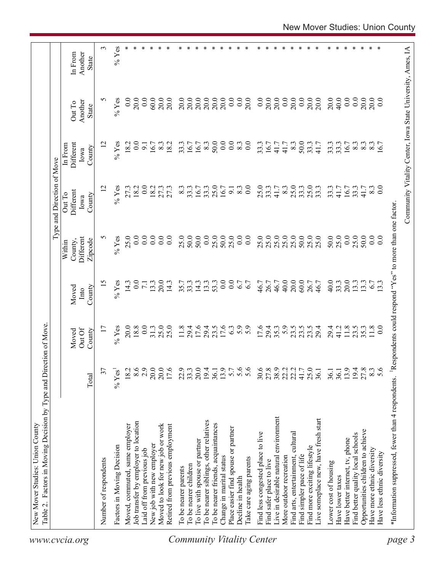| Another<br>In From<br>State<br>0.0<br>S<br>$%$ Yes<br>0.0<br>20.0<br>20.0<br>20.0<br>$20.0$<br>$20.0$<br>20.0<br>0.0<br>0.0<br>0.0<br>20.0<br>20.0<br>0.0<br>20.0<br>20.0<br>20.0<br>20.0<br>40.0<br>0.0<br>20.0<br>0.0<br>20.0<br>0.0<br>60.0<br>20.0<br>20.0<br>20.0<br>0.0<br>20.0<br>Another<br>Out To<br>State<br>12<br>0.0<br>0.0<br>33.3<br>$%$ Yes<br>18.2<br>$\overline{0}$ .<br>8.3<br>50.0<br>8.3<br>$\overline{0.0}$<br>33.3<br>16.7<br>8.3<br>50.0<br>33.3<br>41.7<br>33.3<br>16.7<br>8.3<br>6.7<br>Different<br>18.2<br>33.3<br>16.7<br>41.7<br>41.7<br>$8.\overline{3}$<br>8.3<br>$8.\overline{3}$<br>16.7<br>$\overline{9}$<br>16.7<br>In From<br>County<br>Iowa<br>$%$ Yes<br>0.0<br>25.0<br>25.0<br>25.0<br>25.0<br>0.0<br>$\overline{2}$<br>27.3<br>18.2<br>18.2<br>33.3<br>8.3<br>0.0<br>33.3<br>8.3<br>33.3<br>33.3<br>33.3<br>41.7<br>33.3<br>8.3<br>27.3<br>27.3<br>8.3<br>33.3<br>16.7<br>16.7<br>9.1<br>41.7<br>16.7<br>41.7<br>Different<br>Out To<br>County<br>Iowa<br>Respondents could respond "Yes" to more than one factor<br>25.0<br>50.0<br>$\%$ Yes<br>25.0<br>0.0<br>25.0<br>50.0<br>25.0<br>25.0<br>25.0<br>$25.0$<br>$25.0$<br>50.0<br>25.0<br>25.0<br>50.0<br>25.0<br>0.0<br>0.0<br>S<br>$0.0\,$<br>25.0<br>50.0<br>0.0<br>$_{0.0}$<br>$\overline{0.0}$<br>25.0<br>0.0<br>0.0<br>$\overline{0.0}$<br>50.0<br>$\overline{0.0}$<br>Different<br>Zipcode<br>County,<br>Within<br>0.0<br>20.0<br>20.0<br>15<br>$%$ Yes<br>0.0<br>0.0<br>6.7<br>40.0<br>60.0<br>40.0<br>33.3<br>13.3<br>14.3<br>14.3<br>13.3<br>53.3<br>6.7<br>46.7<br>26.7<br>46.7<br>13.3<br>20.0<br>14.3<br>35.7<br>33.3<br>46.7<br>26.7<br>6.7<br>$\overline{7.1}$<br>13.3<br>13.3<br>County<br>Moved<br>Into<br>18.8<br>0.0<br>25.0<br>17.6<br>5.9<br>5.9<br>23.5<br>$%$ Yes<br>20.0<br>31.3<br>25.0<br>11.8<br>29.4<br>29.4<br>23.5<br>17.6<br>6.3<br>17.6<br>29.4<br>35.3<br>23.5<br>23.5<br>29.4<br>29.4<br>41.2<br>11.8<br>35.3<br>11.8<br>23.5<br>$\overline{17}$<br>$\overline{0}$<br>Out Of<br>County<br>Moved<br>8.6<br>2.9<br>20.0<br>20.0<br>13.9<br>5.7<br>5.6<br>30.6<br>27.8<br>22.2<br>25.0<br>19.4<br>$278$<br>$8.3$<br>$5.6$<br>20.0<br>17.6<br>22.9<br>33.3<br>19.4<br>41.7<br>13.9<br>37<br>$\%$ Yes <sup>1</sup><br>18.2<br>36.1<br>36.1<br>36.1<br>36.1<br>Total<br>*Information suppressed, fewer than 4 respondents.<br>Live in desirable natural environment<br>Live someplace new, have fresh start<br>To be nearer siblings, other relatives<br>Job transfer by employer to location<br>To be nearer friends, acquaintances<br>Moved, commuted, same employer<br>Moved to look for new job or work<br>Retired from previous employment<br>Place easier find spouse or partner<br>Opportunities children to achieve<br>Find less congested place to live<br>Find arts, entertainment, cultural<br>Find better quality local schools<br>Have better internet, tv, phone<br>To live with spouse or partner<br>New job with new employer<br>Factors in Moving Decision<br>Find more exciting lifestyle<br>Have more ethnic diversity<br>Laid off from previous job<br>Have less ethnic diversity<br>Find simpler pace of life<br>More outdoor recreation<br>Change in marital status<br>lake care aging parents<br>Number of respondents<br>Find safer place to live<br>Lower cost of housing<br>To be nearer children<br>To be nearer parents<br>Have lower taxes<br>Decline in health<br><b>Community Vitality Center</b> |        | Factors in Moving Decision by Type and Direction of Move<br>Table 2. |  |  | Type and Direction of Move |  |            |
|--------------------------------------------------------------------------------------------------------------------------------------------------------------------------------------------------------------------------------------------------------------------------------------------------------------------------------------------------------------------------------------------------------------------------------------------------------------------------------------------------------------------------------------------------------------------------------------------------------------------------------------------------------------------------------------------------------------------------------------------------------------------------------------------------------------------------------------------------------------------------------------------------------------------------------------------------------------------------------------------------------------------------------------------------------------------------------------------------------------------------------------------------------------------------------------------------------------------------------------------------------------------------------------------------------------------------------------------------------------------------------------------------------------------------------------------------------------------------------------------------------------------------------------------------------------------------------------------------------------------------------------------------------------------------------------------------------------------------------------------------------------------------------------------------------------------------------------------------------------------------------------------------------------------------------------------------------------------------------------------------------------------------------------------------------------------------------------------------------------------------------------------------------------------------------------------------------------------------------------------------------------------------------------------------------------------------------------------------------------------------------------------------------------------------------------------------------------------------------------------------------------------------------------------------------------------------------------------------------------------------------------------------------------------------------------------------------------------------------------------------------------------------------------------------------------------------------------------------------------------------------------------------------------------------------------------------------------------------------------------------------------------------------------------------------------------------------------------------------------------------------------------------------------------------------------------------------------------------------------------------------------------------------------------------------------------------------------------------------------------------------------------------------------------------------------------------------|--------|----------------------------------------------------------------------|--|--|----------------------------|--|------------|
|                                                                                                                                                                                                                                                                                                                                                                                                                                                                                                                                                                                                                                                                                                                                                                                                                                                                                                                                                                                                                                                                                                                                                                                                                                                                                                                                                                                                                                                                                                                                                                                                                                                                                                                                                                                                                                                                                                                                                                                                                                                                                                                                                                                                                                                                                                                                                                                                                                                                                                                                                                                                                                                                                                                                                                                                                                                                                                                                                                                                                                                                                                                                                                                                                                                                                                                                                                                                                                                        |        |                                                                      |  |  |                            |  |            |
|                                                                                                                                                                                                                                                                                                                                                                                                                                                                                                                                                                                                                                                                                                                                                                                                                                                                                                                                                                                                                                                                                                                                                                                                                                                                                                                                                                                                                                                                                                                                                                                                                                                                                                                                                                                                                                                                                                                                                                                                                                                                                                                                                                                                                                                                                                                                                                                                                                                                                                                                                                                                                                                                                                                                                                                                                                                                                                                                                                                                                                                                                                                                                                                                                                                                                                                                                                                                                                                        |        |                                                                      |  |  |                            |  | $\epsilon$ |
|                                                                                                                                                                                                                                                                                                                                                                                                                                                                                                                                                                                                                                                                                                                                                                                                                                                                                                                                                                                                                                                                                                                                                                                                                                                                                                                                                                                                                                                                                                                                                                                                                                                                                                                                                                                                                                                                                                                                                                                                                                                                                                                                                                                                                                                                                                                                                                                                                                                                                                                                                                                                                                                                                                                                                                                                                                                                                                                                                                                                                                                                                                                                                                                                                                                                                                                                                                                                                                                        |        |                                                                      |  |  |                            |  | $%$ Yes    |
|                                                                                                                                                                                                                                                                                                                                                                                                                                                                                                                                                                                                                                                                                                                                                                                                                                                                                                                                                                                                                                                                                                                                                                                                                                                                                                                                                                                                                                                                                                                                                                                                                                                                                                                                                                                                                                                                                                                                                                                                                                                                                                                                                                                                                                                                                                                                                                                                                                                                                                                                                                                                                                                                                                                                                                                                                                                                                                                                                                                                                                                                                                                                                                                                                                                                                                                                                                                                                                                        |        |                                                                      |  |  |                            |  |            |
|                                                                                                                                                                                                                                                                                                                                                                                                                                                                                                                                                                                                                                                                                                                                                                                                                                                                                                                                                                                                                                                                                                                                                                                                                                                                                                                                                                                                                                                                                                                                                                                                                                                                                                                                                                                                                                                                                                                                                                                                                                                                                                                                                                                                                                                                                                                                                                                                                                                                                                                                                                                                                                                                                                                                                                                                                                                                                                                                                                                                                                                                                                                                                                                                                                                                                                                                                                                                                                                        |        |                                                                      |  |  |                            |  |            |
| ∗<br>∗<br>∗<br>Y.<br>∗<br>∗<br>∗<br>∗<br>∗<br>∗                                                                                                                                                                                                                                                                                                                                                                                                                                                                                                                                                                                                                                                                                                                                                                                                                                                                                                                                                                                                                                                                                                                                                                                                                                                                                                                                                                                                                                                                                                                                                                                                                                                                                                                                                                                                                                                                                                                                                                                                                                                                                                                                                                                                                                                                                                                                                                                                                                                                                                                                                                                                                                                                                                                                                                                                                                                                                                                                                                                                                                                                                                                                                                                                                                                                                                                                                                                                        |        |                                                                      |  |  |                            |  | ∗          |
|                                                                                                                                                                                                                                                                                                                                                                                                                                                                                                                                                                                                                                                                                                                                                                                                                                                                                                                                                                                                                                                                                                                                                                                                                                                                                                                                                                                                                                                                                                                                                                                                                                                                                                                                                                                                                                                                                                                                                                                                                                                                                                                                                                                                                                                                                                                                                                                                                                                                                                                                                                                                                                                                                                                                                                                                                                                                                                                                                                                                                                                                                                                                                                                                                                                                                                                                                                                                                                                        |        |                                                                      |  |  |                            |  |            |
|                                                                                                                                                                                                                                                                                                                                                                                                                                                                                                                                                                                                                                                                                                                                                                                                                                                                                                                                                                                                                                                                                                                                                                                                                                                                                                                                                                                                                                                                                                                                                                                                                                                                                                                                                                                                                                                                                                                                                                                                                                                                                                                                                                                                                                                                                                                                                                                                                                                                                                                                                                                                                                                                                                                                                                                                                                                                                                                                                                                                                                                                                                                                                                                                                                                                                                                                                                                                                                                        |        |                                                                      |  |  |                            |  |            |
|                                                                                                                                                                                                                                                                                                                                                                                                                                                                                                                                                                                                                                                                                                                                                                                                                                                                                                                                                                                                                                                                                                                                                                                                                                                                                                                                                                                                                                                                                                                                                                                                                                                                                                                                                                                                                                                                                                                                                                                                                                                                                                                                                                                                                                                                                                                                                                                                                                                                                                                                                                                                                                                                                                                                                                                                                                                                                                                                                                                                                                                                                                                                                                                                                                                                                                                                                                                                                                                        |        |                                                                      |  |  |                            |  |            |
|                                                                                                                                                                                                                                                                                                                                                                                                                                                                                                                                                                                                                                                                                                                                                                                                                                                                                                                                                                                                                                                                                                                                                                                                                                                                                                                                                                                                                                                                                                                                                                                                                                                                                                                                                                                                                                                                                                                                                                                                                                                                                                                                                                                                                                                                                                                                                                                                                                                                                                                                                                                                                                                                                                                                                                                                                                                                                                                                                                                                                                                                                                                                                                                                                                                                                                                                                                                                                                                        |        |                                                                      |  |  |                            |  |            |
|                                                                                                                                                                                                                                                                                                                                                                                                                                                                                                                                                                                                                                                                                                                                                                                                                                                                                                                                                                                                                                                                                                                                                                                                                                                                                                                                                                                                                                                                                                                                                                                                                                                                                                                                                                                                                                                                                                                                                                                                                                                                                                                                                                                                                                                                                                                                                                                                                                                                                                                                                                                                                                                                                                                                                                                                                                                                                                                                                                                                                                                                                                                                                                                                                                                                                                                                                                                                                                                        |        |                                                                      |  |  |                            |  |            |
|                                                                                                                                                                                                                                                                                                                                                                                                                                                                                                                                                                                                                                                                                                                                                                                                                                                                                                                                                                                                                                                                                                                                                                                                                                                                                                                                                                                                                                                                                                                                                                                                                                                                                                                                                                                                                                                                                                                                                                                                                                                                                                                                                                                                                                                                                                                                                                                                                                                                                                                                                                                                                                                                                                                                                                                                                                                                                                                                                                                                                                                                                                                                                                                                                                                                                                                                                                                                                                                        |        |                                                                      |  |  |                            |  |            |
|                                                                                                                                                                                                                                                                                                                                                                                                                                                                                                                                                                                                                                                                                                                                                                                                                                                                                                                                                                                                                                                                                                                                                                                                                                                                                                                                                                                                                                                                                                                                                                                                                                                                                                                                                                                                                                                                                                                                                                                                                                                                                                                                                                                                                                                                                                                                                                                                                                                                                                                                                                                                                                                                                                                                                                                                                                                                                                                                                                                                                                                                                                                                                                                                                                                                                                                                                                                                                                                        |        |                                                                      |  |  |                            |  |            |
|                                                                                                                                                                                                                                                                                                                                                                                                                                                                                                                                                                                                                                                                                                                                                                                                                                                                                                                                                                                                                                                                                                                                                                                                                                                                                                                                                                                                                                                                                                                                                                                                                                                                                                                                                                                                                                                                                                                                                                                                                                                                                                                                                                                                                                                                                                                                                                                                                                                                                                                                                                                                                                                                                                                                                                                                                                                                                                                                                                                                                                                                                                                                                                                                                                                                                                                                                                                                                                                        |        |                                                                      |  |  |                            |  |            |
|                                                                                                                                                                                                                                                                                                                                                                                                                                                                                                                                                                                                                                                                                                                                                                                                                                                                                                                                                                                                                                                                                                                                                                                                                                                                                                                                                                                                                                                                                                                                                                                                                                                                                                                                                                                                                                                                                                                                                                                                                                                                                                                                                                                                                                                                                                                                                                                                                                                                                                                                                                                                                                                                                                                                                                                                                                                                                                                                                                                                                                                                                                                                                                                                                                                                                                                                                                                                                                                        |        |                                                                      |  |  |                            |  |            |
|                                                                                                                                                                                                                                                                                                                                                                                                                                                                                                                                                                                                                                                                                                                                                                                                                                                                                                                                                                                                                                                                                                                                                                                                                                                                                                                                                                                                                                                                                                                                                                                                                                                                                                                                                                                                                                                                                                                                                                                                                                                                                                                                                                                                                                                                                                                                                                                                                                                                                                                                                                                                                                                                                                                                                                                                                                                                                                                                                                                                                                                                                                                                                                                                                                                                                                                                                                                                                                                        |        |                                                                      |  |  |                            |  |            |
|                                                                                                                                                                                                                                                                                                                                                                                                                                                                                                                                                                                                                                                                                                                                                                                                                                                                                                                                                                                                                                                                                                                                                                                                                                                                                                                                                                                                                                                                                                                                                                                                                                                                                                                                                                                                                                                                                                                                                                                                                                                                                                                                                                                                                                                                                                                                                                                                                                                                                                                                                                                                                                                                                                                                                                                                                                                                                                                                                                                                                                                                                                                                                                                                                                                                                                                                                                                                                                                        |        |                                                                      |  |  |                            |  |            |
|                                                                                                                                                                                                                                                                                                                                                                                                                                                                                                                                                                                                                                                                                                                                                                                                                                                                                                                                                                                                                                                                                                                                                                                                                                                                                                                                                                                                                                                                                                                                                                                                                                                                                                                                                                                                                                                                                                                                                                                                                                                                                                                                                                                                                                                                                                                                                                                                                                                                                                                                                                                                                                                                                                                                                                                                                                                                                                                                                                                                                                                                                                                                                                                                                                                                                                                                                                                                                                                        |        |                                                                      |  |  |                            |  |            |
|                                                                                                                                                                                                                                                                                                                                                                                                                                                                                                                                                                                                                                                                                                                                                                                                                                                                                                                                                                                                                                                                                                                                                                                                                                                                                                                                                                                                                                                                                                                                                                                                                                                                                                                                                                                                                                                                                                                                                                                                                                                                                                                                                                                                                                                                                                                                                                                                                                                                                                                                                                                                                                                                                                                                                                                                                                                                                                                                                                                                                                                                                                                                                                                                                                                                                                                                                                                                                                                        |        |                                                                      |  |  |                            |  |            |
|                                                                                                                                                                                                                                                                                                                                                                                                                                                                                                                                                                                                                                                                                                                                                                                                                                                                                                                                                                                                                                                                                                                                                                                                                                                                                                                                                                                                                                                                                                                                                                                                                                                                                                                                                                                                                                                                                                                                                                                                                                                                                                                                                                                                                                                                                                                                                                                                                                                                                                                                                                                                                                                                                                                                                                                                                                                                                                                                                                                                                                                                                                                                                                                                                                                                                                                                                                                                                                                        |        |                                                                      |  |  |                            |  |            |
|                                                                                                                                                                                                                                                                                                                                                                                                                                                                                                                                                                                                                                                                                                                                                                                                                                                                                                                                                                                                                                                                                                                                                                                                                                                                                                                                                                                                                                                                                                                                                                                                                                                                                                                                                                                                                                                                                                                                                                                                                                                                                                                                                                                                                                                                                                                                                                                                                                                                                                                                                                                                                                                                                                                                                                                                                                                                                                                                                                                                                                                                                                                                                                                                                                                                                                                                                                                                                                                        |        |                                                                      |  |  |                            |  |            |
|                                                                                                                                                                                                                                                                                                                                                                                                                                                                                                                                                                                                                                                                                                                                                                                                                                                                                                                                                                                                                                                                                                                                                                                                                                                                                                                                                                                                                                                                                                                                                                                                                                                                                                                                                                                                                                                                                                                                                                                                                                                                                                                                                                                                                                                                                                                                                                                                                                                                                                                                                                                                                                                                                                                                                                                                                                                                                                                                                                                                                                                                                                                                                                                                                                                                                                                                                                                                                                                        |        |                                                                      |  |  |                            |  |            |
|                                                                                                                                                                                                                                                                                                                                                                                                                                                                                                                                                                                                                                                                                                                                                                                                                                                                                                                                                                                                                                                                                                                                                                                                                                                                                                                                                                                                                                                                                                                                                                                                                                                                                                                                                                                                                                                                                                                                                                                                                                                                                                                                                                                                                                                                                                                                                                                                                                                                                                                                                                                                                                                                                                                                                                                                                                                                                                                                                                                                                                                                                                                                                                                                                                                                                                                                                                                                                                                        |        |                                                                      |  |  |                            |  |            |
|                                                                                                                                                                                                                                                                                                                                                                                                                                                                                                                                                                                                                                                                                                                                                                                                                                                                                                                                                                                                                                                                                                                                                                                                                                                                                                                                                                                                                                                                                                                                                                                                                                                                                                                                                                                                                                                                                                                                                                                                                                                                                                                                                                                                                                                                                                                                                                                                                                                                                                                                                                                                                                                                                                                                                                                                                                                                                                                                                                                                                                                                                                                                                                                                                                                                                                                                                                                                                                                        |        |                                                                      |  |  |                            |  |            |
|                                                                                                                                                                                                                                                                                                                                                                                                                                                                                                                                                                                                                                                                                                                                                                                                                                                                                                                                                                                                                                                                                                                                                                                                                                                                                                                                                                                                                                                                                                                                                                                                                                                                                                                                                                                                                                                                                                                                                                                                                                                                                                                                                                                                                                                                                                                                                                                                                                                                                                                                                                                                                                                                                                                                                                                                                                                                                                                                                                                                                                                                                                                                                                                                                                                                                                                                                                                                                                                        |        |                                                                      |  |  |                            |  |            |
|                                                                                                                                                                                                                                                                                                                                                                                                                                                                                                                                                                                                                                                                                                                                                                                                                                                                                                                                                                                                                                                                                                                                                                                                                                                                                                                                                                                                                                                                                                                                                                                                                                                                                                                                                                                                                                                                                                                                                                                                                                                                                                                                                                                                                                                                                                                                                                                                                                                                                                                                                                                                                                                                                                                                                                                                                                                                                                                                                                                                                                                                                                                                                                                                                                                                                                                                                                                                                                                        |        |                                                                      |  |  |                            |  |            |
|                                                                                                                                                                                                                                                                                                                                                                                                                                                                                                                                                                                                                                                                                                                                                                                                                                                                                                                                                                                                                                                                                                                                                                                                                                                                                                                                                                                                                                                                                                                                                                                                                                                                                                                                                                                                                                                                                                                                                                                                                                                                                                                                                                                                                                                                                                                                                                                                                                                                                                                                                                                                                                                                                                                                                                                                                                                                                                                                                                                                                                                                                                                                                                                                                                                                                                                                                                                                                                                        |        |                                                                      |  |  |                            |  |            |
|                                                                                                                                                                                                                                                                                                                                                                                                                                                                                                                                                                                                                                                                                                                                                                                                                                                                                                                                                                                                                                                                                                                                                                                                                                                                                                                                                                                                                                                                                                                                                                                                                                                                                                                                                                                                                                                                                                                                                                                                                                                                                                                                                                                                                                                                                                                                                                                                                                                                                                                                                                                                                                                                                                                                                                                                                                                                                                                                                                                                                                                                                                                                                                                                                                                                                                                                                                                                                                                        |        |                                                                      |  |  |                            |  |            |
|                                                                                                                                                                                                                                                                                                                                                                                                                                                                                                                                                                                                                                                                                                                                                                                                                                                                                                                                                                                                                                                                                                                                                                                                                                                                                                                                                                                                                                                                                                                                                                                                                                                                                                                                                                                                                                                                                                                                                                                                                                                                                                                                                                                                                                                                                                                                                                                                                                                                                                                                                                                                                                                                                                                                                                                                                                                                                                                                                                                                                                                                                                                                                                                                                                                                                                                                                                                                                                                        |        |                                                                      |  |  |                            |  |            |
|                                                                                                                                                                                                                                                                                                                                                                                                                                                                                                                                                                                                                                                                                                                                                                                                                                                                                                                                                                                                                                                                                                                                                                                                                                                                                                                                                                                                                                                                                                                                                                                                                                                                                                                                                                                                                                                                                                                                                                                                                                                                                                                                                                                                                                                                                                                                                                                                                                                                                                                                                                                                                                                                                                                                                                                                                                                                                                                                                                                                                                                                                                                                                                                                                                                                                                                                                                                                                                                        |        |                                                                      |  |  |                            |  |            |
|                                                                                                                                                                                                                                                                                                                                                                                                                                                                                                                                                                                                                                                                                                                                                                                                                                                                                                                                                                                                                                                                                                                                                                                                                                                                                                                                                                                                                                                                                                                                                                                                                                                                                                                                                                                                                                                                                                                                                                                                                                                                                                                                                                                                                                                                                                                                                                                                                                                                                                                                                                                                                                                                                                                                                                                                                                                                                                                                                                                                                                                                                                                                                                                                                                                                                                                                                                                                                                                        |        |                                                                      |  |  |                            |  |            |
|                                                                                                                                                                                                                                                                                                                                                                                                                                                                                                                                                                                                                                                                                                                                                                                                                                                                                                                                                                                                                                                                                                                                                                                                                                                                                                                                                                                                                                                                                                                                                                                                                                                                                                                                                                                                                                                                                                                                                                                                                                                                                                                                                                                                                                                                                                                                                                                                                                                                                                                                                                                                                                                                                                                                                                                                                                                                                                                                                                                                                                                                                                                                                                                                                                                                                                                                                                                                                                                        |        |                                                                      |  |  |                            |  |            |
|                                                                                                                                                                                                                                                                                                                                                                                                                                                                                                                                                                                                                                                                                                                                                                                                                                                                                                                                                                                                                                                                                                                                                                                                                                                                                                                                                                                                                                                                                                                                                                                                                                                                                                                                                                                                                                                                                                                                                                                                                                                                                                                                                                                                                                                                                                                                                                                                                                                                                                                                                                                                                                                                                                                                                                                                                                                                                                                                                                                                                                                                                                                                                                                                                                                                                                                                                                                                                                                        |        |                                                                      |  |  |                            |  |            |
| Community Vitality Center, Iowa State University, Ames, IA                                                                                                                                                                                                                                                                                                                                                                                                                                                                                                                                                                                                                                                                                                                                                                                                                                                                                                                                                                                                                                                                                                                                                                                                                                                                                                                                                                                                                                                                                                                                                                                                                                                                                                                                                                                                                                                                                                                                                                                                                                                                                                                                                                                                                                                                                                                                                                                                                                                                                                                                                                                                                                                                                                                                                                                                                                                                                                                                                                                                                                                                                                                                                                                                                                                                                                                                                                                             | page 3 |                                                                      |  |  |                            |  |            |
|                                                                                                                                                                                                                                                                                                                                                                                                                                                                                                                                                                                                                                                                                                                                                                                                                                                                                                                                                                                                                                                                                                                                                                                                                                                                                                                                                                                                                                                                                                                                                                                                                                                                                                                                                                                                                                                                                                                                                                                                                                                                                                                                                                                                                                                                                                                                                                                                                                                                                                                                                                                                                                                                                                                                                                                                                                                                                                                                                                                                                                                                                                                                                                                                                                                                                                                                                                                                                                                        |        |                                                                      |  |  |                            |  |            |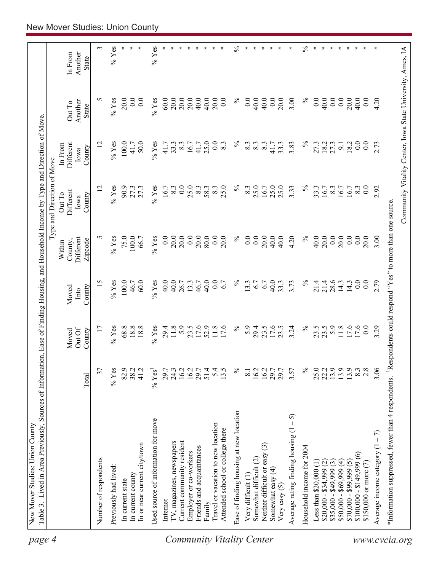| page 4                    | Table 3. Lived in Area Previously, Sources of Information, Ease of Finding Housing, and Household Income by Type and Direction of Move.<br>New Mover Studies: Union County |                      |                  |                |                      |                            |                      |                                                            |                         |
|---------------------------|----------------------------------------------------------------------------------------------------------------------------------------------------------------------------|----------------------|------------------|----------------|----------------------|----------------------------|----------------------|------------------------------------------------------------|-------------------------|
|                           |                                                                                                                                                                            |                      |                  |                |                      | Type and Direction of Move |                      |                                                            |                         |
|                           |                                                                                                                                                                            |                      | Moved            | Moved          | County,<br>Within    | Different<br>Out To        | Different<br>In From | Out To                                                     | In From                 |
|                           |                                                                                                                                                                            | Total                | Out Of<br>County | County<br>Into | Different<br>Zipcode | County<br>Iowa             | County<br>Iowa       | Another<br><b>State</b>                                    | Another<br><b>State</b> |
|                           | Number of respondents                                                                                                                                                      | 37                   | 17               | 15             | S                    | 12                         | 12                   | S                                                          | 3                       |
|                           | Previously had lived:                                                                                                                                                      | $%$ Yes              | $%$ Yes          | $%$ Yes        | $%$ Yes              | $%$ Yes                    | $%$ Yes              | $%$ Yes                                                    | $\%$ Yes                |
|                           | In current state                                                                                                                                                           | 82.9                 | 68.8             | 100.0          | 75.0                 | 90.9                       | 100.0                | 20.0                                                       |                         |
|                           | In current county                                                                                                                                                          | 38.2                 | 18.8             | 46.7           | $100.0$              | 27.3                       | 41.7                 | 0.0                                                        | ∗                       |
|                           | In or near current city/town                                                                                                                                               | 41.2                 | 18.8             | 60.0           | 66.7                 | 27.3                       | 50.0                 | 0.0                                                        |                         |
|                           | Used source of information for move                                                                                                                                        | $%$ Yes <sup>1</sup> | $%$ Yes          | $%$ Yes        | $%$ Yes              | $%$ Yes                    | $%$ Yes              | $\%$ Yes                                                   | $%$ Yes                 |
|                           | Internet                                                                                                                                                                   | 29.7                 | 29.4             | 40.0           | 0.0                  | 16.7                       | 41.7                 | $60.0$                                                     |                         |
|                           | IV, magazines, newspapers                                                                                                                                                  | 24.3                 | 11.8             | 40.0           | 20.0                 | 8.3                        | 33.3                 | 20.0                                                       |                         |
|                           | Current community resident                                                                                                                                                 | 16.2                 | 5.9              | 26.7           | 20.0                 | 0.0                        | 8.3                  | 20.0                                                       |                         |
|                           | Employer or co-workers                                                                                                                                                     | 16.2                 | 23.5             | 13.3           | 0.0                  | 25.0                       | 16.7                 | $20.0$<br>40.0                                             |                         |
|                           | Friends and acquaintances                                                                                                                                                  | 29.7                 | 17.6             | 46.7           | 20.0                 | 8.3                        | 41.7                 |                                                            |                         |
|                           | Family                                                                                                                                                                     | 51.4                 | 52.9             | 40.0           | 80.0                 | 58.3                       | 25.0                 | 40.0                                                       |                         |
| Community Vitality Center | Travel or vacation to new location<br>Attended school or college there                                                                                                     | 5.4<br>13.5          | 11.8<br>17.6     | 0.0<br>6.7     | 0.0<br>20.0          | 25.0<br>$8.\overline{3}$   | 0.0<br>8.3           | 20.0<br>0.0                                                |                         |
|                           | Ease of finding housing at new location                                                                                                                                    | $\%$                 | $\%$             | $\%$           | $\%$                 | $\%$                       | $\%$                 | $\%$                                                       | $\%$                    |
|                           | Very difficult (1)                                                                                                                                                         | $\overline{8.1}$     | 5.9              | 13.3           | 0.0                  | 8.3                        | 8.3                  | 0.0                                                        | ∗                       |
|                           | Somewhat difficult (2)                                                                                                                                                     | 16.2                 | 29.4             | 6.7            | 0.0                  | 25.0                       | 8.3                  | 40.0                                                       |                         |
|                           | $\widehat{\mathbb{C}}$<br>Neither difficult or easy                                                                                                                        | 16.2                 | 23.5             | 6.7            | 20.0                 | 16.7                       | 8.3                  | 40.0                                                       |                         |
|                           | Somewhat easy $(4)$                                                                                                                                                        | 29.7                 | 17.6             | 40.0           | 40.0                 | 25.0                       | 41.7                 | 0.0                                                        |                         |
|                           | Very easy $(5)$                                                                                                                                                            | 29.7                 | 23.5             | 33.3           | 40.0                 | 25.0                       | 33.3                 | 20.0                                                       | ∗                       |
|                           | - 5)<br>Average rating finding housing (1                                                                                                                                  | 3.57                 | 3.24             | 3.73           | 4.20                 | 3.33                       | 3.83                 | 3.00                                                       | ∗                       |
|                           | Household income for 2004                                                                                                                                                  | $\%$                 | $\%$             | $\%$           | $\%$                 | $\%$                       | $\%$                 | $\%$                                                       | $\%$                    |
|                           | Less than $$20,000(1)$                                                                                                                                                     | 25.0                 | 23.5             | 21.4           | 40.0                 | 33.3                       | 27.3                 | 0.0                                                        | ∗                       |
|                           | $$20,000 - $34,999$ (2)                                                                                                                                                    | 22.2                 | 23.5             | 21.4           | 20.0                 | 16.7                       | 18.2                 | 40.0                                                       | ∗                       |
|                           | $$35,000 - $49,999(3)$                                                                                                                                                     | 13.9                 | 5.9              | 28.6           | 0.0                  | 8.3                        | 27.3                 | 0.0                                                        | ∗                       |
|                           | $$50,000 - $69,999(4)$                                                                                                                                                     | 13.9                 | 11.8             | 14.3           | 20.0                 | 16.7                       | 9.1                  | 0.0                                                        | ∗                       |
|                           | $$70,000 - $99,999(5)$                                                                                                                                                     | 13.9                 | 17.6             | 14.3           | 0.0                  | 16.7                       | 18.2                 | 20.0                                                       |                         |
|                           | $$100,000 - $149,999(6)$                                                                                                                                                   | 8.3                  |                  | 0.0            | 0.0                  | 8.3                        | 0.0                  | 40.0                                                       | ∗                       |
|                           | \$150,000 or more (7)                                                                                                                                                      | 2.8                  | 0.0              | 0.0            | 20.0                 | $\overline{0}$ .           | 0.0                  | 0.0                                                        |                         |
|                           | Average income category $(1 - 7)$                                                                                                                                          | 3.06                 | 3.29             | 2.79           | 3.00                 | 2.92                       | 2.73                 | 4.20                                                       |                         |
|                           | *Information suppressed, fewer than 4 respondents. <sup>1</sup> Respondents could respond "Yes" to more than one source                                                    |                      |                  |                |                      |                            |                      |                                                            |                         |
| www.cvcia.org             |                                                                                                                                                                            |                      |                  |                |                      |                            |                      | Community Vitality Center, Iowa State University, Ames, IA |                         |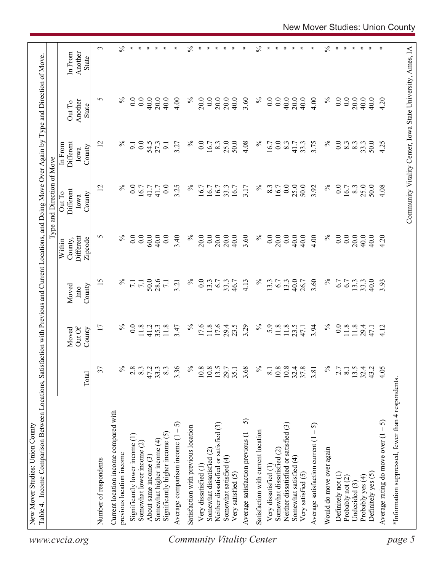|                           |                                                                   |                                             |                            |                         |                                           | ction with Previous and Current Locations, and Doing Move Over Again by Type and Direction of Move<br>Type and Direction of Move |                                        |                                   |                             |
|---------------------------|-------------------------------------------------------------------|---------------------------------------------|----------------------------|-------------------------|-------------------------------------------|----------------------------------------------------------------------------------------------------------------------------------|----------------------------------------|-----------------------------------|-----------------------------|
| www.cvcia.org             |                                                                   | Total                                       | Out Of<br>Moved<br>County  | Moved<br>County<br>Into | Different<br>Zipcode<br>County,<br>Within | Different<br>Out To<br>County<br>Iowa                                                                                            | Different<br>In From<br>County<br>Iowa | Another<br>Out To<br><b>State</b> | Another<br>In From<br>State |
|                           | Number of respondents                                             | 37                                          | 17                         | 15                      | 5                                         | 12                                                                                                                               | 12                                     | 5                                 | $\sim$                      |
|                           | Current location income compared with<br>previous location income | $\%$                                        | $\%$                       | $\%$                    | $\%$                                      | $\%$                                                                                                                             | $\%$                                   | $\%$                              | $\lesssim$                  |
|                           |                                                                   |                                             |                            |                         |                                           |                                                                                                                                  |                                        |                                   | ∗                           |
|                           | Significantly lower income (1)<br>Somewhat lower income (2)       | 2.8<br>$8.\overline{3}$                     | 0.0                        | 7.1<br>$\overline{7.1}$ | $\overline{0}$ .<br>0.0                   | $\overline{0.0}$<br>16.7                                                                                                         | 0.0<br>9.1                             | 0.0<br>0.0                        | ∗                           |
|                           | About same income (3)                                             | 47.2                                        |                            | 50.0                    | 60.0                                      | 41.7                                                                                                                             |                                        | 40.0                              | ∗                           |
|                           | Somewhat higher income $(4)$                                      | 33.3                                        | $11.8$<br>$41.3$<br>$35.3$ | 28.6                    | 40.0                                      | 41.7                                                                                                                             | 54.5                                   | 20.0                              | ∗                           |
|                           | Significantly higher income $(5)$                                 | 8.3                                         | 11.8                       | $\overline{7.1}$        | 0.0                                       | 0.0                                                                                                                              | $\overline{9}$ .                       | 40.0                              | ∗                           |
|                           | $-5$<br>Average comparison income (1                              | 3.36                                        | 3.47                       | 3.21                    | 3.40                                      | 3.25                                                                                                                             | 3.27                                   | 4.00                              | ∗                           |
| Community Vitality Center | Satisfaction with previous location                               | $\%$                                        | $\%$                       | $\%$                    | $\%$                                      | $\%$                                                                                                                             | $\%$                                   | $\%$                              | $\frac{5}{6}$               |
|                           | Very dissatisfied (1                                              |                                             |                            | 0.0                     | 20.0                                      | 16.7                                                                                                                             | 0.0                                    | 20.0                              | ∗                           |
|                           | Somewhat dissatisfied (2)                                         | $\begin{array}{c} 10.8 \\ 10.8 \end{array}$ | 17.6                       | 13.3                    | 0.0                                       | 16.7                                                                                                                             | 16.7                                   | 0.0                               | ∗                           |
|                           | Neither dissatisfied or satisfied (3)                             | 13.5                                        | 17.6                       | 6.7                     | 20.0                                      | 16.7                                                                                                                             | 8.3                                    | 20.0                              | ∗                           |
|                           | Somewhat satisfied (4)                                            | 29.7                                        | 29.4                       | 33.3                    | 20.0                                      | 33.3                                                                                                                             | 25.0                                   | 20.0                              | $\ast$                      |
|                           | Very satisfied (5)                                                | 35.1                                        | 23.5                       | 46.7                    | 40.0                                      | 16.7                                                                                                                             | 50.0                                   | 40.0                              | $\ast$                      |
|                           | Average satisfaction previous $(1 - 5)$                           | 3.68                                        | 3.29                       | 4.13                    | 3.60                                      | 3.17                                                                                                                             | 4.08                                   | 3.60                              | ∗                           |
|                           | Satisfaction with current location                                | $\%$                                        | $\%$                       | $\%$                    | $\%$                                      | $\%$                                                                                                                             | $\%$                                   | $\%$                              | $\%$                        |
|                           | Very dissatisfied (1)                                             | 8.1                                         | 5.9                        | 13.3                    | $\overline{0}$ .                          | 8.3                                                                                                                              | 16.7                                   | 0.0                               | ∗                           |
|                           | Somewhat dissatisfied (2)                                         | $10.8\,$                                    |                            | 6.7                     | 20.0                                      | 16.7                                                                                                                             | 0.0                                    | 0.0                               | ∗                           |
|                           | Neither dissatisfied or satisfied (3)                             | $10.8\,$                                    | $11.8$<br>11.8             | 13.3                    | $0.0\,$                                   | 0.0                                                                                                                              | 8.3                                    | 40.0                              | ∗                           |
|                           | Somewhat satisfied (4)                                            | 32.4                                        | $23.5$<br>47.1             | 40.0                    | 40.0                                      | 25.0                                                                                                                             | 41.7                                   | 20.0                              | ∗                           |
|                           | Very satisfied (5)                                                | 37.8                                        |                            | 26.7                    | 40.0                                      | 50.0                                                                                                                             | 33.3                                   | 40.0                              | ∗                           |
|                           | 5<br>Average satisfaction current (1 -                            | 3.81                                        | 3.94                       | 3.60                    | 4.00                                      | 3.92                                                                                                                             | 3.75                                   | 4.00                              | ∗                           |
|                           | Would do move over again                                          | $\%$                                        | $\%$                       | $\%$                    | $\%$                                      | $\%$                                                                                                                             | $\%$                                   | $\%$                              | $\%$                        |
|                           | Definitely not (1)                                                | 2.7                                         | $\overline{0.0}$           | 6.7                     | 0.0                                       | 0.0                                                                                                                              | 0.0                                    | 0.0                               | ∗                           |
|                           | Probably not (2)                                                  | 8.1                                         |                            | 6.7                     | 0.0                                       | 16.7                                                                                                                             | 8.3                                    | 0.0                               | ∗                           |
|                           | Undecided $(3)$                                                   | 13.5                                        | $11.8$<br>11.8             | 13.3                    | 20.0                                      | 8.3                                                                                                                              | 8.3                                    | 20.0                              | $\ast$                      |
|                           | Probably yes (4)                                                  | $32.4$<br>$43.2$                            | 29.4                       | 33.3                    | 40.0                                      | 25.0                                                                                                                             | 33.3                                   | 40.0                              | ∗                           |
|                           | Definitely yes (5)                                                |                                             | 47.1                       | 40.0                    | 40.0                                      | 50.0                                                                                                                             | 50.0                                   | 40.0                              | ∗                           |
|                           | Average rating do move over $(1 - 5)$                             | 4.05                                        | 4.12                       | 3.93                    | 4.20                                      | 4.08                                                                                                                             | 4.25                                   | 4.20                              |                             |
| page 5                    | *Information suppressed, fewer than 4 respondents                 |                                             |                            |                         |                                           |                                                                                                                                  |                                        |                                   |                             |
|                           |                                                                   |                                             |                            |                         |                                           | Community Vitality Center, Iowa State University, Ames, IA                                                                       |                                        |                                   |                             |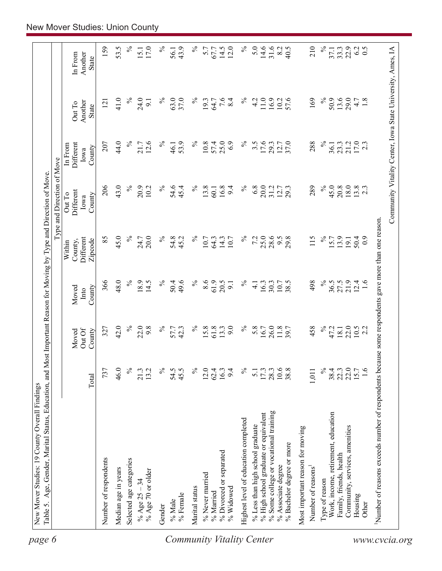|                                                       |                  |                 |               |                                                 | Type and Direction of Move  |                              |                                                            |                    |
|-------------------------------------------------------|------------------|-----------------|---------------|-------------------------------------------------|-----------------------------|------------------------------|------------------------------------------------------------|--------------------|
|                                                       |                  | Out Of<br>Moved | Moved<br>Into | Different<br>County,<br>Within                  | Different<br>Out To<br>Iowa | Different<br>In From<br>Iowa | Another<br>Out To                                          | Another<br>In From |
|                                                       | Total            | County          | County        | Zipcode                                         | County                      | County                       | State                                                      | <b>State</b>       |
| Number of respondents                                 | 737              | 327             | 366           | 85                                              | 206                         | 207                          | 121                                                        | 159                |
| Median age in years                                   | 46.0             | 42.0            | 48.0          | 45.0                                            | 43.0                        | 44.0                         | 41.0                                                       | 53.5               |
| Selected age categories                               | $\frac{5}{6}$    | $\%$            | $\%$          | $\%$                                            | $\%$                        | $\%$                         | $\%$                                                       | $\%$               |
| % Age 70 or older<br>% Age $25 - 34$                  | 21.3<br>13.2     | 22.0<br>9.8     | 18.9<br>14.5  | 20.0<br>24.7                                    | 20.9<br>10.2                | 12.6<br>21.7                 | 24.0<br>9.1                                                | 17.0<br>15.1       |
| Gender                                                | $\%$             | $\%$            | $\%$          | $\%$                                            | $\%$                        | $\%$                         | $\%$                                                       | $\%$               |
| $\%$ Male                                             | 54.5             |                 | 50.4          |                                                 | 54.6                        | 46.1                         | 63.0                                                       | 56.1               |
| % Female                                              | 45.5             | 57.7<br>42.3    | 49.6          | 54.8<br>45.2                                    | 45.4                        | 53.9                         | 37.0                                                       | 43.9               |
| Marital status                                        | $\%$             | $\%$            | $\%$          | $\%$                                            | $\%$                        | $\%$                         | $\%$                                                       | $\%$               |
| % Never married                                       | 12.0             | 15.8            | 8.6           | 10.7                                            | 13.8                        | 10.8                         | 19.3                                                       | 5.7                |
| % Married                                             | 62.4             | 61.8            | 61.9<br>20.5  | 64.3                                            | 16.8<br>60.1                | 25.0<br>57.4                 | 64.7                                                       | 67.7               |
| % Divorced or separated<br>% Widowed                  | 16.3<br>9.4      | 9.0<br>13.3     | 9.1           | 14.3<br>10.7                                    | 9.4                         | 6.9                          | 7.6<br>8.4                                                 | 14.5<br>12.0       |
| Highest level of education completed                  | $\%$             | $\%$            | $\%$          | $\%$                                            | $\%$                        | $\%$                         | $\%$                                                       | $\%$               |
| % Less than high school graduate                      | $\overline{5.1}$ | 5.8             | $\frac{1}{4}$ | 7.2                                             | 6.8                         | $3.\overline{5}$             | 4.2                                                        | 5.0                |
| % High school graduate or equivalent                  | 17.3             | 16.7            | 16.3          | 25.0                                            | 20.0                        | 17.6                         | $11.0$ $\,$                                                | $14.6$<br>31.6     |
| % Some college or vocational training                 | 28.3             | 26.0            | 30.3          | 28.6                                            | 31.2                        | 29.3                         | 16.9                                                       |                    |
| % Bachelor degree or more<br>% Associate degree       | 10.6<br>38.8     | 11.8            | 10.7<br>38.5  | 29.8<br>6.6                                     | 12.7<br>29.3                | 12.7<br>37.0                 | 57.6<br>10.2                                               | 8.2<br>40.5        |
| Most important reason for moving                      |                  |                 |               |                                                 |                             |                              |                                                            |                    |
| Number of reasons                                     | 1,011            | 458             | 498           | 115                                             | 289                         | 288                          | 169                                                        | 210                |
| Type of reason                                        | $\%$             | $\%$            | $\%$          | $\%$                                            | $\%$                        | $\%$                         | $\%$                                                       | $\%$               |
| Work, income, retirement, education                   | 38.4             | 47.2            | 36.5          | 15.7                                            | 45.0                        | 36.1                         | 50.9                                                       | 37.1               |
| Family, friends, health                               | 22.3             | 18.1            | 27.5          | 13.9                                            | 20.8                        | 23.3                         | 13.6                                                       | 33.3               |
| Community, services, amenities                        | 22.0             | 22.0            | 21.9          | 19.1                                            | 18.0                        | 21.2                         | 29.0                                                       | 22.9               |
| Housing<br>Other                                      | 1.6<br>15.7      | $10.5$<br>2.2   | 12.4<br>1.6   | 50.4<br>$_{0.0}$                                | $13.8$<br>2.3               | 17.0<br>2.3                  | 4.7<br>1.8                                                 | 0.5<br>62          |
|                                                       |                  |                 |               |                                                 |                             |                              |                                                            |                    |
| Number of reasons exceeds number of respondents becan |                  |                 |               | use some respondents gave more than one reason. |                             |                              | Community Vitality Center, Iowa State University, Ames, IA |                    |
|                                                       |                  |                 |               |                                                 |                             |                              |                                                            |                    |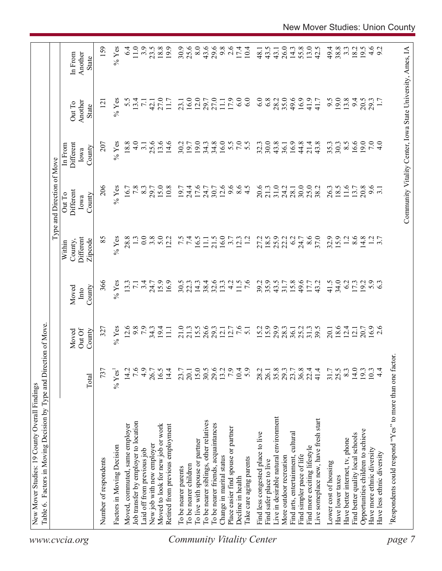| Live in desirable natural environment<br>To be nearer siblings, other relatives<br>Job transfer by employer to location<br>To be nearer friends, acquaintances<br>Moved, commuted, same employer<br>Moved to look for new job or work<br>Retired from previous employment<br>Place easier find spouse or partner<br>Find less congested place to live<br>To live with spouse or partner<br>New job with new employer<br>Factors in Moving Decision<br>Laid off from previous job<br>More outdoor recreation<br>Change in marital status<br>Take care aging parents<br>Number of respondents<br>Find safer place to live<br>To be nearer children<br>To be nearer parents<br>Decline in health | 7.6<br>4.9<br>15.0<br>29.6<br>$7.9$<br>14.4<br>30.5<br>13.2<br>10.4<br>5.9<br>35.8<br>29.3<br>14.2<br>26.7<br>16.5<br>23.7<br>20.1<br>28.2<br>26.1<br>737<br>$\%$ Yes'<br>Total | 7.6<br>$%$ Yes<br>12.6<br>9.8<br>$\overline{7}$ .9<br>$15.5$<br>26.6<br>29.3<br>15.2<br>29.9<br>$34.3$<br>19.4<br>21.0<br>12.7<br>327<br>21.3<br>12.1<br>$\overline{51}$<br>28.3<br>$\overline{111}$<br>Out Of<br>County<br>Moved | $%$ Yes<br>3.4<br>16.9<br>32.6<br>35.9<br>366<br>15.9<br>30.5<br>38.4<br>4.2<br>11.5<br>$\overline{7.6}$<br>39.2<br>43.5<br>13.3<br>22.3<br>14.3<br>13.3<br>31.7<br>$\overline{7.1}$<br>24.7<br>County<br>Moved<br>Into | $\overline{0.0}$<br>3.8<br>85<br>28.8<br>5.0<br>7.5<br>21.5<br>16.0<br>18.5<br>25.9<br>Different<br>$%$ Yes<br>$\frac{1}{3}$<br>12.2<br>16.5<br>3.7<br>1.2<br>22.2<br>11.1<br>12.3<br>27.2<br>Zipcode<br>County,<br>Within | Type and Direction of Move<br>206<br>17.6<br>12.6<br>$\frac{6}{4}$ .5<br>20.6<br>31.0<br>$%$ Yes<br>$7.8\,$<br>15.0<br>10.8<br>9.6<br>21.3<br>24.2<br>$8.\overline{3}$<br>19.7<br>24.4<br>24.7<br>30.7<br>16.7<br>29.7<br>Different<br>Out To<br>County<br>Iowa | 34.8<br>16.0<br>30.0<br>$%$ Yes<br>18.8<br>$\frac{0}{4}$<br>13.6<br>14.6<br>30.2<br>19.0<br>34.3<br>5.500<br>32.3<br>43.8<br>207<br>$\overline{3}$ .<br>25.6<br>19.7<br>Different<br>36.1<br>In From<br>County<br>Iowa | Another<br>Out To<br><b>State</b> |
|-----------------------------------------------------------------------------------------------------------------------------------------------------------------------------------------------------------------------------------------------------------------------------------------------------------------------------------------------------------------------------------------------------------------------------------------------------------------------------------------------------------------------------------------------------------------------------------------------------------------------------------------------------------------------------------------------|---------------------------------------------------------------------------------------------------------------------------------------------------------------------------------|-----------------------------------------------------------------------------------------------------------------------------------------------------------------------------------------------------------------------------------|-------------------------------------------------------------------------------------------------------------------------------------------------------------------------------------------------------------------------|----------------------------------------------------------------------------------------------------------------------------------------------------------------------------------------------------------------------------|-----------------------------------------------------------------------------------------------------------------------------------------------------------------------------------------------------------------------------------------------------------------|------------------------------------------------------------------------------------------------------------------------------------------------------------------------------------------------------------------------|-----------------------------------|
| Find arts, entertainment, cultural<br>Find simpler pace of life                                                                                                                                                                                                                                                                                                                                                                                                                                                                                                                                                                                                                               | 23.7<br>36.8<br>22.4                                                                                                                                                            | 25.2<br>36.1                                                                                                                                                                                                                      | 15.8<br>49.6                                                                                                                                                                                                            | 6.2<br>24.7                                                                                                                                                                                                                | 30.0<br>28.1                                                                                                                                                                                                                                                    | 16.9<br>44.8                                                                                                                                                                                                           |                                   |
| Live someplace new, have fresh start<br>Find more exciting lifestyle<br>Lower cost of housing                                                                                                                                                                                                                                                                                                                                                                                                                                                                                                                                                                                                 | 41.4<br>31.7                                                                                                                                                                    | 31.3<br>39.5<br>20.1                                                                                                                                                                                                              | 41.5<br>43.2<br>$17.7\,$                                                                                                                                                                                                | 8.6<br>32.9<br>37.0                                                                                                                                                                                                        | 25.0<br>26.3<br>38.2                                                                                                                                                                                                                                            | 43.8<br>35.3<br>21.4                                                                                                                                                                                                   |                                   |
| Have better internet, tv, phone<br>Have lower taxes                                                                                                                                                                                                                                                                                                                                                                                                                                                                                                                                                                                                                                           | 25.5<br>8.3                                                                                                                                                                     | $18.6$<br>12.4                                                                                                                                                                                                                    | 34.0<br>6.2                                                                                                                                                                                                             | 15.9<br>$\overline{13}$                                                                                                                                                                                                    | $11.6$<br>18.5                                                                                                                                                                                                                                                  | $8.\overline{5}$<br>30.3                                                                                                                                                                                               |                                   |
| Opportunities children to achieve<br>Find better quality local schools                                                                                                                                                                                                                                                                                                                                                                                                                                                                                                                                                                                                                        | 14.0<br>19.3                                                                                                                                                                    | 20.7<br>12.1                                                                                                                                                                                                                      | 19.2<br>17.3                                                                                                                                                                                                            | 8.6<br>14.8                                                                                                                                                                                                                | 20.8<br>13.7                                                                                                                                                                                                                                                    | 16.6<br>19.0                                                                                                                                                                                                           |                                   |
| Have more ethnic diversity<br>Have less ethnic diversity                                                                                                                                                                                                                                                                                                                                                                                                                                                                                                                                                                                                                                      | $4\overline{4}$<br>10.3                                                                                                                                                         | $16.9$<br>2.6                                                                                                                                                                                                                     | 5.9                                                                                                                                                                                                                     | $1.2$<br>3.7                                                                                                                                                                                                               | 9.6<br>$\overline{3.1}$                                                                                                                                                                                                                                         | $7.0\,$<br>4.0                                                                                                                                                                                                         |                                   |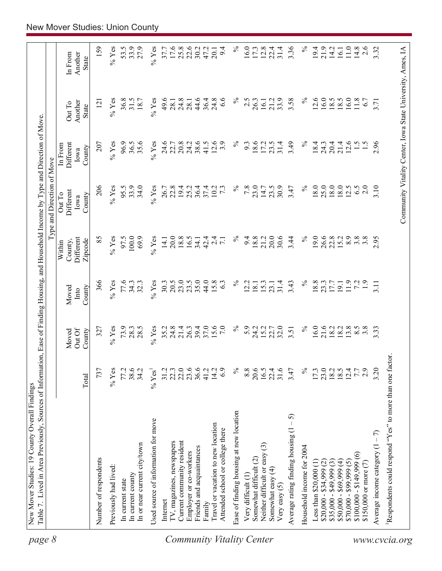| page 8                           | Table 7. Lived in Area Previously, Sources of Information, Ease of Finding Housing, and Household Income by Type and Direction of Move |                      |                           |                         |                                           | Type and Direction of Move                                 |                                        |                            |                                    |
|----------------------------------|----------------------------------------------------------------------------------------------------------------------------------------|----------------------|---------------------------|-------------------------|-------------------------------------------|------------------------------------------------------------|----------------------------------------|----------------------------|------------------------------------|
|                                  |                                                                                                                                        | Total                | Out Of<br>County<br>Moved | County<br>Moved<br>Into | Different<br>Zipcode<br>County,<br>Within | Different<br>Out To<br>County<br>Iowa                      | Different<br>In From<br>County<br>Iowa | Another<br>Out To<br>State | Another<br>In From<br><b>State</b> |
|                                  |                                                                                                                                        |                      |                           |                         |                                           |                                                            |                                        |                            |                                    |
|                                  | Number of respondents                                                                                                                  | 737                  | 327                       | 366                     | 85                                        | 206                                                        | 207                                    | $\overline{121}$           | 159                                |
|                                  | Previously had lived:                                                                                                                  | $%$ Yes              | $%$ Yes                   | $\%$ Yes                | $%$ Yes                                   | $%$ Yes                                                    | $%$ Yes                                | $\%$ Yes                   | $\%$ Yes                           |
|                                  | In current state                                                                                                                       | 77.2                 | 73.9                      | 77.6                    | 97.5                                      | 95.5                                                       | 96.9                                   | 36.8                       | 53.5                               |
|                                  | In current county                                                                                                                      | 38.6                 | 28.3                      | 34.3                    | 100.0                                     | 33.9                                                       | 36.5                                   | 31.5                       | 33.9                               |
|                                  | In or near current city/town                                                                                                           | 34.2                 | 28.5                      | 32.3                    | 69.9                                      | 34.0                                                       | 35.6                                   | 18.7                       | 27.9                               |
|                                  | Used source of information for move                                                                                                    | $%$ Yes <sup>1</sup> | $%$ Yes                   | $\%$ Yes                | $\%$ Yes                                  | $%$ Yes                                                    | $%$ Yes                                | $%$ Yes                    | $\%$ Yes                           |
|                                  | Internet                                                                                                                               | 31.2                 | 35.2                      | 30.3                    | 14.1                                      | 26.7                                                       | 24.6                                   | 49.6                       | 37.7                               |
|                                  | TV, magazines, newspapers                                                                                                              | 22.3                 | 24.8                      | 20.5                    | 20.0                                      | 22.8                                                       | 22.7                                   | 28.1                       | 17.6                               |
|                                  | Current community resident                                                                                                             | 22.0                 | 21.4                      | 23.0                    | 18.8                                      | 19.4                                                       | 20.8                                   |                            | 25.8                               |
|                                  | Employer or co-workers                                                                                                                 | 23.6                 | 26.3                      | 23.5                    | 16.5                                      | 25.2                                                       | 24.2                                   | $24.8$<br>28.1             | 22.6                               |
|                                  | Friends and acquaintances                                                                                                              | 36.6                 | 39.4                      | 35.0                    | 34.1                                      | 36.4                                                       | 38.6                                   | 44.6                       | 30.2                               |
|                                  | Family                                                                                                                                 | 41.2                 | 37.0                      | 44.0                    | 42.4                                      | 37.4                                                       | 41.5                                   | 36.4                       | 47.2                               |
|                                  | Travel or vacation to new location                                                                                                     | 14.2                 | 15.6                      | 15.8                    | $\overline{24}$                           | 10.2                                                       | 12.6                                   | 24.8                       | 20.1                               |
|                                  | Attended school or college there                                                                                                       | 6.9                  | $7.0\,$                   | 6.3                     | $\overline{7.1}$                          | $7\overline{3}$                                            | 3.9                                    | 6.6                        | 9.4                                |
| <b>Community Vitality Center</b> | Ease of finding housing at new location                                                                                                | $\%$                 | $\%$                      | $\%$                    | $\%$                                      | $\%$                                                       | $\%$                                   | $\%$                       | $\%$                               |
|                                  | Very difficult (1)                                                                                                                     | 8.8                  | 5.9                       | 2.2                     | 9.4                                       | 7.8                                                        | 9.3                                    | 2.5                        | 16.0                               |
|                                  | Somewhat difficult (2)                                                                                                                 | 20.6                 | 24.2                      | 18.1                    | 18.8                                      | 23.0                                                       | 18.6                                   | 26.3                       | 17.3                               |
|                                  | Neither difficult or easy (3)                                                                                                          | 16.5                 | 15.2                      | 15.3                    | 21.2                                      | 14.7                                                       | 17.2                                   | 16.1                       | 12.8                               |
|                                  | Somewhat easy (4)<br>Very easy $(5)$                                                                                                   | 31.6<br>22.4         | 22.7<br>32.0              | 31.4<br>23.1            | 30.6<br>20.0                              | 30.9<br>23.5                                               | 31.4<br>23.5                           | 33.9<br>21.2               | 31.4<br>22.4                       |
|                                  | 5<br>Average rating finding housing (1                                                                                                 | 3.47                 | 3.51                      | 3.43                    | 3.44                                      | 3.47                                                       | 3.49                                   | 3.58                       | 3.36                               |
|                                  | Household income for 2004                                                                                                              | $\%$                 | $\%$                      | $\%$                    | $\%$                                      | $\%$                                                       | $\%$                                   | $\%$                       | $\%$                               |
|                                  | Less than $$20,000$ $(1)$                                                                                                              | 17.3                 | 16.0                      | 18.8                    | 19.0                                      | 18.0                                                       | 18.4                                   | 12.6                       | 19.4                               |
|                                  | $$20,000 - $34,999$ (2)                                                                                                                | $\frac{23.0}{18.2}$  |                           | 23.3                    |                                           | 25.0                                                       | 24.3                                   | 16.0                       | 21.9                               |
|                                  | $$35,000 - $49,999(3)$                                                                                                                 |                      | 21.6<br>18.2              | 17.7                    | 26.6<br>22.8                              | 18.0                                                       | 20.4                                   | 18.5                       | 14.2                               |
|                                  | $$50,000 - $69,999 (4)$                                                                                                                |                      | 18.2                      | 19.1                    | 15.2                                      | 18.0                                                       | 21.4                                   | 18.5                       | 16.1                               |
|                                  | $$70,000 - $99,999(5)$                                                                                                                 | 12.4                 | 3.8                       | 11.9                    | 8.9                                       | 12.5                                                       | 12.6                                   | 16.0                       | $11.0\,$                           |
|                                  | $$100,000 - $149,999(6)$                                                                                                               | 7.7                  | $8.\overline{5}$          | 72                      | 3.8                                       | 6.5                                                        | $\frac{5}{1}$                          | $11.8$                     | 14.8                               |
|                                  | \$150,000 or more $(7)$                                                                                                                | 2.9                  | $3.\overline{8}$          | $\ddot{1}$ .            | 3.8                                       | 2.0                                                        |                                        | 6.7                        | 2.6                                |
|                                  | Average income category $(1 - 7)$                                                                                                      | 3.20                 | 3.33                      | 3.11                    | 2.95                                      | 3.10                                                       | 2.96                                   | 3.71                       | 3.32                               |
| www.cvcia.org                    | Respondents could respond "Yes" to more than one factor.                                                                               |                      |                           |                         |                                           |                                                            |                                        |                            |                                    |
|                                  |                                                                                                                                        |                      |                           |                         |                                           | Community Vitality Center, Iowa State University, Ames, IA |                                        |                            |                                    |
|                                  |                                                                                                                                        |                      |                           |                         |                                           |                                                            |                                        |                            |                                    |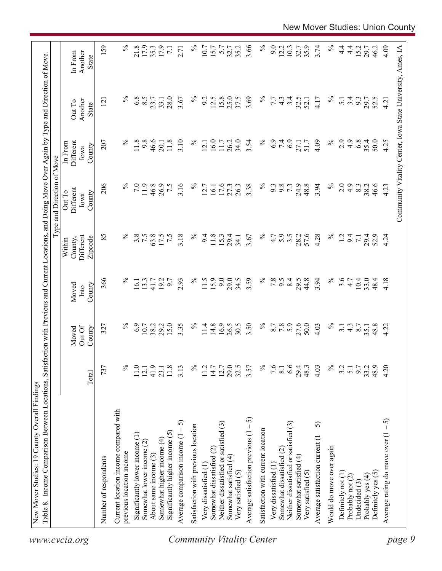| $\%$<br>4.9<br>35.4<br>207<br>$\%$<br>9.8<br>46.6<br>11.8<br>3.10<br>$\%$<br>16.0<br>26.2<br>34.0<br>$\%$<br>6.9<br>7.4<br>4.09<br>2.9<br>6.8<br>50.0<br>Different<br>11.8<br>11.7<br>3.54<br>27.1<br>51.7<br>12.1<br>20.1<br>In From<br>County<br>Iowa<br>206<br>24.9<br>48.8<br>3.94<br>$\%$<br>7.0<br>11.9<br>46.8<br>26.9<br>7.5<br>3.16<br>$\%$<br>16.1<br>17.6<br>$\%$<br>9.8<br>2.0<br>4.9<br>46.6<br>27.3<br>26.3<br>3.38<br>9.3<br>73<br>8.3<br>38.2<br>12.7<br>Different<br>Out To<br>County<br>Iowa<br>85<br>℅<br>$\%$<br>57.6<br>$\%$<br>3.8<br>7.5<br>63.8<br>7.5<br>3.18<br>$\%$<br>28.2<br>4.28<br>17.5<br>11.8<br>15.3<br>4.7<br>5.9<br>$3.\overline{5}$<br>$\overline{12}$<br>Different<br>9.4<br>29.4<br>3.67<br>9.4<br>29.4<br>52.9<br>$\overline{7.1}$<br>34.1<br>County,<br>Zipcode<br>Within<br>9.0<br>366<br>$\%$<br>$\%$<br>15.9<br>29.0<br>3.59<br>$\%$<br>$7.8$<br>8.4<br>44.8<br>3.94<br>$\%$<br>3.6<br>4.7<br>10.4<br>13.3<br>19.2<br>9.7<br>2.93<br>11.5<br>34.5<br>9.5<br>29.5<br>33.0<br>48.4<br>16.1<br>41.7<br>County<br>Moved<br>$\mathbf{Int} \mathbf{O}$<br>16.9<br>$\%$<br>27.6<br>$\%$<br>6.9<br>15.0<br>3.35<br>$\%$<br>3.50<br>5.9<br>50.0<br>$\%$<br>10.7<br>38.2<br>29.2<br>11.4<br>14.8<br>26.5<br>30.5<br>8.7<br>7.8<br>4.03<br>48.8<br>327<br>$4.\overline{3}$<br>8.7<br>$\overline{3}$ .<br>35.1<br>Out Of<br>Moved<br>County<br>29.5<br>$\%$<br>6.6<br>$\%$<br>737<br>$\%$<br>41.9<br>11.8<br>$\%$<br>12.7<br>7.6<br>29.4<br>9.7<br>33.2<br>48.9<br>11.0<br>3.13<br>11.2<br>14.7<br>3.57<br>8.1<br>48.3<br>4.03<br>3.2<br>5.1<br>12.1<br>23.1<br>Total<br>Current location income compared with<br>Average satisfaction previous $(1 - 5)$<br>Average comparison income $(1 - 5)$<br>Neither dissatisfied or satisfied (3)<br>Neither dissatisfied or satisfied (3)<br>Average satisfaction current $(1 - 5)$<br>Satisfaction with previous location<br>Satisfaction with current location<br>Significantly higher income $(5)$<br>Significantly lower income (1)<br>Somewhat higher income (4)<br>Somewhat lower income (2)<br>Would do move over again<br>Somewhat dissatisfied (2)<br>Somewhat dissatisfied (2)<br>previous location income<br>About same income (3)<br>Somewhat satisfied (4)<br>Somewhat satisfied (4)<br>Number of respondents<br>Very dissatisfied (1<br>Very dissatisfied (1<br>Very satisfied (5)<br>Very satisfied (5)<br>Definitely yes (5)<br>Definitely not (1)<br>Probably yes (4)<br>Probably not (2)<br>Undecided $(3)$ |  |  | Type and Direction of Move |                                   |                                    |
|--------------------------------------------------------------------------------------------------------------------------------------------------------------------------------------------------------------------------------------------------------------------------------------------------------------------------------------------------------------------------------------------------------------------------------------------------------------------------------------------------------------------------------------------------------------------------------------------------------------------------------------------------------------------------------------------------------------------------------------------------------------------------------------------------------------------------------------------------------------------------------------------------------------------------------------------------------------------------------------------------------------------------------------------------------------------------------------------------------------------------------------------------------------------------------------------------------------------------------------------------------------------------------------------------------------------------------------------------------------------------------------------------------------------------------------------------------------------------------------------------------------------------------------------------------------------------------------------------------------------------------------------------------------------------------------------------------------------------------------------------------------------------------------------------------------------------------------------------------------------------------------------------------------------------------------------------------------------------------------------------------------------------------------------------------------------------------------------------------------------------------------------------------------------------------------------------------------------------------------------------------------------------------------------------------------------------------------------------------------------------------------------------------------------------------------------------------------------------------------------------------|--|--|----------------------------|-----------------------------------|------------------------------------|
|                                                                                                                                                                                                                                                                                                                                                                                                                                                                                                                                                                                                                                                                                                                                                                                                                                                                                                                                                                                                                                                                                                                                                                                                                                                                                                                                                                                                                                                                                                                                                                                                                                                                                                                                                                                                                                                                                                                                                                                                                                                                                                                                                                                                                                                                                                                                                                                                                                                                                                        |  |  |                            | Another<br>Out To<br><b>State</b> | Another<br>In From<br><b>State</b> |
|                                                                                                                                                                                                                                                                                                                                                                                                                                                                                                                                                                                                                                                                                                                                                                                                                                                                                                                                                                                                                                                                                                                                                                                                                                                                                                                                                                                                                                                                                                                                                                                                                                                                                                                                                                                                                                                                                                                                                                                                                                                                                                                                                                                                                                                                                                                                                                                                                                                                                                        |  |  |                            | 121                               | 159                                |
|                                                                                                                                                                                                                                                                                                                                                                                                                                                                                                                                                                                                                                                                                                                                                                                                                                                                                                                                                                                                                                                                                                                                                                                                                                                                                                                                                                                                                                                                                                                                                                                                                                                                                                                                                                                                                                                                                                                                                                                                                                                                                                                                                                                                                                                                                                                                                                                                                                                                                                        |  |  |                            |                                   |                                    |
|                                                                                                                                                                                                                                                                                                                                                                                                                                                                                                                                                                                                                                                                                                                                                                                                                                                                                                                                                                                                                                                                                                                                                                                                                                                                                                                                                                                                                                                                                                                                                                                                                                                                                                                                                                                                                                                                                                                                                                                                                                                                                                                                                                                                                                                                                                                                                                                                                                                                                                        |  |  |                            | $\%$                              | $\%$                               |
| <b>Community Vitality Center</b>                                                                                                                                                                                                                                                                                                                                                                                                                                                                                                                                                                                                                                                                                                                                                                                                                                                                                                                                                                                                                                                                                                                                                                                                                                                                                                                                                                                                                                                                                                                                                                                                                                                                                                                                                                                                                                                                                                                                                                                                                                                                                                                                                                                                                                                                                                                                                                                                                                                                       |  |  |                            | 6.8                               | 21.8                               |
|                                                                                                                                                                                                                                                                                                                                                                                                                                                                                                                                                                                                                                                                                                                                                                                                                                                                                                                                                                                                                                                                                                                                                                                                                                                                                                                                                                                                                                                                                                                                                                                                                                                                                                                                                                                                                                                                                                                                                                                                                                                                                                                                                                                                                                                                                                                                                                                                                                                                                                        |  |  |                            | 8.5                               | 17.9                               |
|                                                                                                                                                                                                                                                                                                                                                                                                                                                                                                                                                                                                                                                                                                                                                                                                                                                                                                                                                                                                                                                                                                                                                                                                                                                                                                                                                                                                                                                                                                                                                                                                                                                                                                                                                                                                                                                                                                                                                                                                                                                                                                                                                                                                                                                                                                                                                                                                                                                                                                        |  |  |                            | 23.7                              | 35.3                               |
|                                                                                                                                                                                                                                                                                                                                                                                                                                                                                                                                                                                                                                                                                                                                                                                                                                                                                                                                                                                                                                                                                                                                                                                                                                                                                                                                                                                                                                                                                                                                                                                                                                                                                                                                                                                                                                                                                                                                                                                                                                                                                                                                                                                                                                                                                                                                                                                                                                                                                                        |  |  |                            | 33.1                              | 17.9                               |
|                                                                                                                                                                                                                                                                                                                                                                                                                                                                                                                                                                                                                                                                                                                                                                                                                                                                                                                                                                                                                                                                                                                                                                                                                                                                                                                                                                                                                                                                                                                                                                                                                                                                                                                                                                                                                                                                                                                                                                                                                                                                                                                                                                                                                                                                                                                                                                                                                                                                                                        |  |  |                            | 28.0                              | $\overline{7.1}$                   |
|                                                                                                                                                                                                                                                                                                                                                                                                                                                                                                                                                                                                                                                                                                                                                                                                                                                                                                                                                                                                                                                                                                                                                                                                                                                                                                                                                                                                                                                                                                                                                                                                                                                                                                                                                                                                                                                                                                                                                                                                                                                                                                                                                                                                                                                                                                                                                                                                                                                                                                        |  |  |                            | 3.67                              | 2.71                               |
|                                                                                                                                                                                                                                                                                                                                                                                                                                                                                                                                                                                                                                                                                                                                                                                                                                                                                                                                                                                                                                                                                                                                                                                                                                                                                                                                                                                                                                                                                                                                                                                                                                                                                                                                                                                                                                                                                                                                                                                                                                                                                                                                                                                                                                                                                                                                                                                                                                                                                                        |  |  |                            | $\%$                              | $\%$                               |
|                                                                                                                                                                                                                                                                                                                                                                                                                                                                                                                                                                                                                                                                                                                                                                                                                                                                                                                                                                                                                                                                                                                                                                                                                                                                                                                                                                                                                                                                                                                                                                                                                                                                                                                                                                                                                                                                                                                                                                                                                                                                                                                                                                                                                                                                                                                                                                                                                                                                                                        |  |  |                            | 9.2                               | 10.7                               |
|                                                                                                                                                                                                                                                                                                                                                                                                                                                                                                                                                                                                                                                                                                                                                                                                                                                                                                                                                                                                                                                                                                                                                                                                                                                                                                                                                                                                                                                                                                                                                                                                                                                                                                                                                                                                                                                                                                                                                                                                                                                                                                                                                                                                                                                                                                                                                                                                                                                                                                        |  |  |                            | 12.5                              | 15.7                               |
|                                                                                                                                                                                                                                                                                                                                                                                                                                                                                                                                                                                                                                                                                                                                                                                                                                                                                                                                                                                                                                                                                                                                                                                                                                                                                                                                                                                                                                                                                                                                                                                                                                                                                                                                                                                                                                                                                                                                                                                                                                                                                                                                                                                                                                                                                                                                                                                                                                                                                                        |  |  |                            | 15.8                              | 5.7                                |
|                                                                                                                                                                                                                                                                                                                                                                                                                                                                                                                                                                                                                                                                                                                                                                                                                                                                                                                                                                                                                                                                                                                                                                                                                                                                                                                                                                                                                                                                                                                                                                                                                                                                                                                                                                                                                                                                                                                                                                                                                                                                                                                                                                                                                                                                                                                                                                                                                                                                                                        |  |  |                            | 25.0                              | 32.7                               |
|                                                                                                                                                                                                                                                                                                                                                                                                                                                                                                                                                                                                                                                                                                                                                                                                                                                                                                                                                                                                                                                                                                                                                                                                                                                                                                                                                                                                                                                                                                                                                                                                                                                                                                                                                                                                                                                                                                                                                                                                                                                                                                                                                                                                                                                                                                                                                                                                                                                                                                        |  |  |                            | 37.5                              | 35.2                               |
|                                                                                                                                                                                                                                                                                                                                                                                                                                                                                                                                                                                                                                                                                                                                                                                                                                                                                                                                                                                                                                                                                                                                                                                                                                                                                                                                                                                                                                                                                                                                                                                                                                                                                                                                                                                                                                                                                                                                                                                                                                                                                                                                                                                                                                                                                                                                                                                                                                                                                                        |  |  |                            | 3.69                              | 3.66                               |
|                                                                                                                                                                                                                                                                                                                                                                                                                                                                                                                                                                                                                                                                                                                                                                                                                                                                                                                                                                                                                                                                                                                                                                                                                                                                                                                                                                                                                                                                                                                                                                                                                                                                                                                                                                                                                                                                                                                                                                                                                                                                                                                                                                                                                                                                                                                                                                                                                                                                                                        |  |  |                            | $\%$                              | $\%$                               |
|                                                                                                                                                                                                                                                                                                                                                                                                                                                                                                                                                                                                                                                                                                                                                                                                                                                                                                                                                                                                                                                                                                                                                                                                                                                                                                                                                                                                                                                                                                                                                                                                                                                                                                                                                                                                                                                                                                                                                                                                                                                                                                                                                                                                                                                                                                                                                                                                                                                                                                        |  |  |                            | 7.7                               | 9.0                                |
|                                                                                                                                                                                                                                                                                                                                                                                                                                                                                                                                                                                                                                                                                                                                                                                                                                                                                                                                                                                                                                                                                                                                                                                                                                                                                                                                                                                                                                                                                                                                                                                                                                                                                                                                                                                                                                                                                                                                                                                                                                                                                                                                                                                                                                                                                                                                                                                                                                                                                                        |  |  |                            | $4.\overline{3}$                  | 12.2                               |
|                                                                                                                                                                                                                                                                                                                                                                                                                                                                                                                                                                                                                                                                                                                                                                                                                                                                                                                                                                                                                                                                                                                                                                                                                                                                                                                                                                                                                                                                                                                                                                                                                                                                                                                                                                                                                                                                                                                                                                                                                                                                                                                                                                                                                                                                                                                                                                                                                                                                                                        |  |  |                            | 3.4                               | 10.3                               |
|                                                                                                                                                                                                                                                                                                                                                                                                                                                                                                                                                                                                                                                                                                                                                                                                                                                                                                                                                                                                                                                                                                                                                                                                                                                                                                                                                                                                                                                                                                                                                                                                                                                                                                                                                                                                                                                                                                                                                                                                                                                                                                                                                                                                                                                                                                                                                                                                                                                                                                        |  |  |                            | 32.5                              | 32.7                               |
|                                                                                                                                                                                                                                                                                                                                                                                                                                                                                                                                                                                                                                                                                                                                                                                                                                                                                                                                                                                                                                                                                                                                                                                                                                                                                                                                                                                                                                                                                                                                                                                                                                                                                                                                                                                                                                                                                                                                                                                                                                                                                                                                                                                                                                                                                                                                                                                                                                                                                                        |  |  |                            | 52.1                              | 35.9                               |
|                                                                                                                                                                                                                                                                                                                                                                                                                                                                                                                                                                                                                                                                                                                                                                                                                                                                                                                                                                                                                                                                                                                                                                                                                                                                                                                                                                                                                                                                                                                                                                                                                                                                                                                                                                                                                                                                                                                                                                                                                                                                                                                                                                                                                                                                                                                                                                                                                                                                                                        |  |  |                            | 4.17                              | 3.74                               |
|                                                                                                                                                                                                                                                                                                                                                                                                                                                                                                                                                                                                                                                                                                                                                                                                                                                                                                                                                                                                                                                                                                                                                                                                                                                                                                                                                                                                                                                                                                                                                                                                                                                                                                                                                                                                                                                                                                                                                                                                                                                                                                                                                                                                                                                                                                                                                                                                                                                                                                        |  |  |                            | $\%$                              | $\%$                               |
|                                                                                                                                                                                                                                                                                                                                                                                                                                                                                                                                                                                                                                                                                                                                                                                                                                                                                                                                                                                                                                                                                                                                                                                                                                                                                                                                                                                                                                                                                                                                                                                                                                                                                                                                                                                                                                                                                                                                                                                                                                                                                                                                                                                                                                                                                                                                                                                                                                                                                                        |  |  |                            | $\overline{5.1}$                  | $\frac{4}{4}$                      |
|                                                                                                                                                                                                                                                                                                                                                                                                                                                                                                                                                                                                                                                                                                                                                                                                                                                                                                                                                                                                                                                                                                                                                                                                                                                                                                                                                                                                                                                                                                                                                                                                                                                                                                                                                                                                                                                                                                                                                                                                                                                                                                                                                                                                                                                                                                                                                                                                                                                                                                        |  |  |                            | 3.4                               | $4\cdot$                           |
|                                                                                                                                                                                                                                                                                                                                                                                                                                                                                                                                                                                                                                                                                                                                                                                                                                                                                                                                                                                                                                                                                                                                                                                                                                                                                                                                                                                                                                                                                                                                                                                                                                                                                                                                                                                                                                                                                                                                                                                                                                                                                                                                                                                                                                                                                                                                                                                                                                                                                                        |  |  |                            | 9.3                               | 15.2                               |
|                                                                                                                                                                                                                                                                                                                                                                                                                                                                                                                                                                                                                                                                                                                                                                                                                                                                                                                                                                                                                                                                                                                                                                                                                                                                                                                                                                                                                                                                                                                                                                                                                                                                                                                                                                                                                                                                                                                                                                                                                                                                                                                                                                                                                                                                                                                                                                                                                                                                                                        |  |  |                            | 29.7                              | 29.7                               |
|                                                                                                                                                                                                                                                                                                                                                                                                                                                                                                                                                                                                                                                                                                                                                                                                                                                                                                                                                                                                                                                                                                                                                                                                                                                                                                                                                                                                                                                                                                                                                                                                                                                                                                                                                                                                                                                                                                                                                                                                                                                                                                                                                                                                                                                                                                                                                                                                                                                                                                        |  |  |                            | 52.5                              | 46.2                               |
| 4.25<br>4.23<br>4.24<br>4.18<br>4.22<br>4.20<br>$-5$<br>Average rating do move over (1                                                                                                                                                                                                                                                                                                                                                                                                                                                                                                                                                                                                                                                                                                                                                                                                                                                                                                                                                                                                                                                                                                                                                                                                                                                                                                                                                                                                                                                                                                                                                                                                                                                                                                                                                                                                                                                                                                                                                                                                                                                                                                                                                                                                                                                                                                                                                                                                                 |  |  |                            | 4.21                              | 4.09                               |
| Community Vitality Center, Iowa State University, Ames, IA<br>page 9                                                                                                                                                                                                                                                                                                                                                                                                                                                                                                                                                                                                                                                                                                                                                                                                                                                                                                                                                                                                                                                                                                                                                                                                                                                                                                                                                                                                                                                                                                                                                                                                                                                                                                                                                                                                                                                                                                                                                                                                                                                                                                                                                                                                                                                                                                                                                                                                                                   |  |  |                            |                                   |                                    |